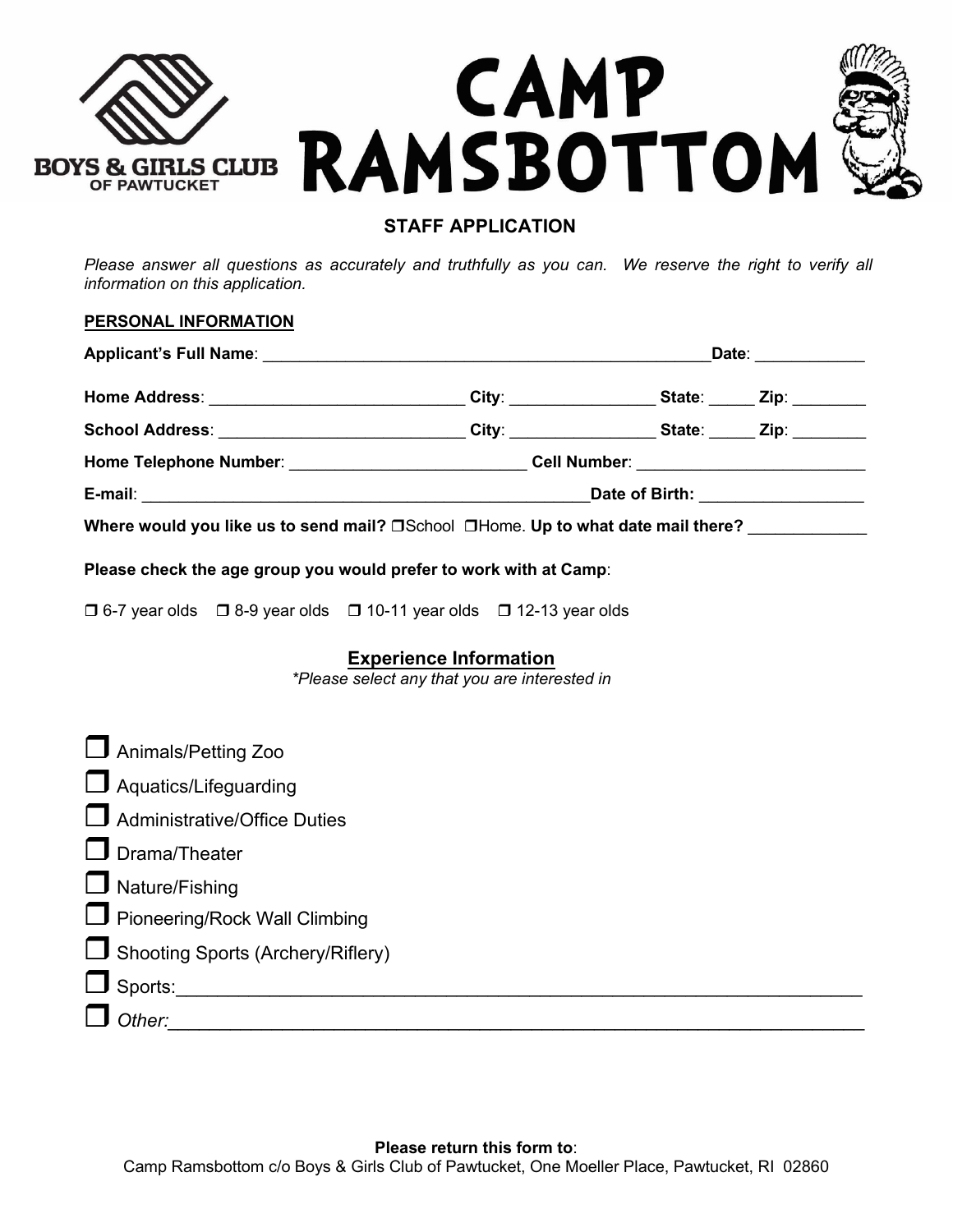

# **STAFF APPLICATION**

*Please answer all questions as accurately and truthfully as you can. We reserve the right to verify all information on this application.* 

| PERSONAL INFORMATION                                                                                |                                                                                   |                                                           |  |  |
|-----------------------------------------------------------------------------------------------------|-----------------------------------------------------------------------------------|-----------------------------------------------------------|--|--|
|                                                                                                     |                                                                                   | Date: <u>_________</u>                                    |  |  |
|                                                                                                     |                                                                                   | City: _______________________State: ______ Zip: _________ |  |  |
| School Address: ____________________________City: _________________State: ______Zip: ______________ |                                                                                   |                                                           |  |  |
|                                                                                                     | Home Telephone Number: _____________________________Cell Number: ________________ |                                                           |  |  |
|                                                                                                     | Date of Birth: _________________                                                  |                                                           |  |  |
| Where would you like us to send mail? $\Box$ School $\Box$ Home. Up to what date mail there?        |                                                                                   |                                                           |  |  |
| Please check the age group you would prefer to work with at Camp:                                   |                                                                                   |                                                           |  |  |

 $\Box$  6-7 year olds  $\Box$  8-9 year olds  $\Box$  10-11 year olds  $\Box$  12-13 year olds

### **Experience Information**

*\*Please select any that you are interested in*

| Animals/Petting Zoo               |
|-----------------------------------|
| $\Box$ Aquatics/Lifeguarding      |
| Administrative/Office Duties      |
| $\Box$ Drama/Theater              |
| $\Box$ Nature/Fishing             |
| Pioneering/Rock Wall Climbing     |
| Shooting Sports (Archery/Riflery) |
| $\Box$ Sports:                    |
| $\Box$ Other:                     |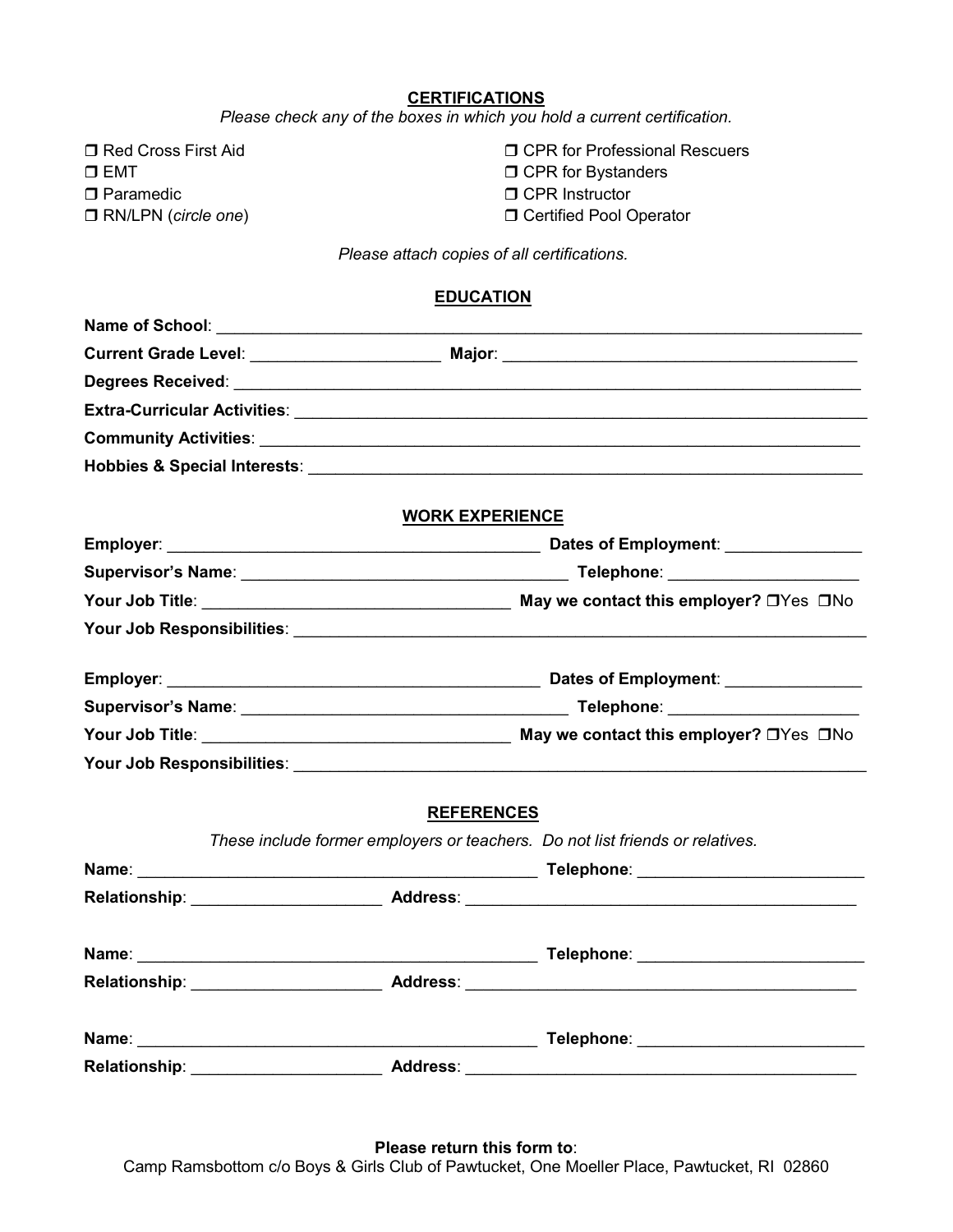#### **CERTIFICATIONS**

*Please check any of the boxes in which you hold a current certification.*

□ Red Cross First Aid  $\square$  EMT □ Paramedic RN/LPN (*circle one*) **D CPR for Professional Rescuers D CPR for Bystanders** □ CPR Instructor **D** Certified Pool Operator

*Please attach copies of all certifications.*

| <b>EDUCATION</b> |  |
|------------------|--|
|                  |  |

|                                                                                                                | <b>WORK EXPERIENCE</b> |                                                                                                                                                                                                                                     |  |  |
|----------------------------------------------------------------------------------------------------------------|------------------------|-------------------------------------------------------------------------------------------------------------------------------------------------------------------------------------------------------------------------------------|--|--|
|                                                                                                                |                        |                                                                                                                                                                                                                                     |  |  |
|                                                                                                                |                        |                                                                                                                                                                                                                                     |  |  |
|                                                                                                                |                        |                                                                                                                                                                                                                                     |  |  |
|                                                                                                                |                        |                                                                                                                                                                                                                                     |  |  |
|                                                                                                                |                        |                                                                                                                                                                                                                                     |  |  |
|                                                                                                                |                        |                                                                                                                                                                                                                                     |  |  |
|                                                                                                                |                        |                                                                                                                                                                                                                                     |  |  |
|                                                                                                                |                        |                                                                                                                                                                                                                                     |  |  |
|                                                                                                                | <b>REFERENCES</b>      |                                                                                                                                                                                                                                     |  |  |
|                                                                                                                |                        | These include former employers or teachers. Do not list friends or relatives.                                                                                                                                                       |  |  |
|                                                                                                                |                        | Telephone: ___________________________                                                                                                                                                                                              |  |  |
|                                                                                                                |                        | Relationship: Address: Address: Address: Address: Address: Address: Address: Address: Address: Address: Address: Address: Address: Address: Address: Address: Address: Address: Address: Address: Address: Address: Address: A      |  |  |
|                                                                                                                |                        |                                                                                                                                                                                                                                     |  |  |
|                                                                                                                |                        |                                                                                                                                                                                                                                     |  |  |
| Name: 2008. 2008. 2009. 2009. 2010. 2010. 2010. 2010. 2010. 2010. 2010. 2010. 2010. 2010. 2010. 2010. 2010. 20 |                        | <b>Telephone:</b> The contract of the contract of the contract of the contract of the contract of the contract of the contract of the contract of the contract of the contract of the contract of the contract of the contract of t |  |  |
| Relationship:                                                                                                  | <b>Address:</b>        |                                                                                                                                                                                                                                     |  |  |

**Please return this form to**:

Camp Ramsbottom c/o Boys & Girls Club of Pawtucket, One Moeller Place, Pawtucket, RI 02860